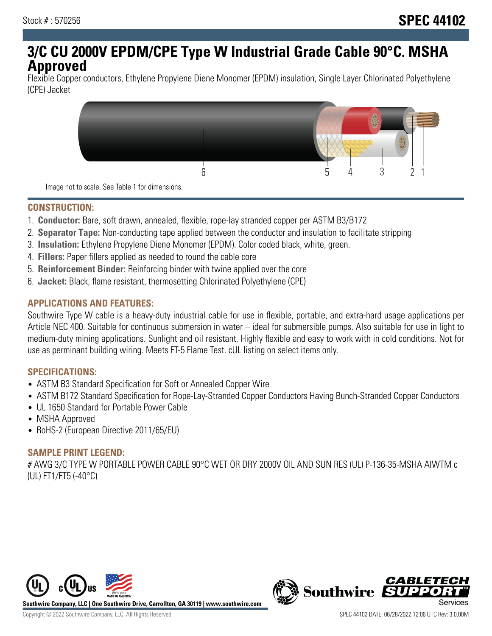# **3/C CU 2000V EPDM/CPE Type W Industrial Grade Cable 90°C. MSHA Approved**

Flexible Copper conductors, Ethylene Propylene Diene Monomer (EPDM) insulation, Single Layer Chlorinated Polyethylene (CPE) Jacket



Image not to scale. See Table 1 for dimensions.

## **CONSTRUCTION:**

- 1. **Conductor:** Bare, soft drawn, annealed, flexible, rope-lay stranded copper per ASTM B3/B172
- 2. **Separator Tape:** Non-conducting tape applied between the conductor and insulation to facilitate stripping
- 3. **Insulation:** Ethylene Propylene Diene Monomer (EPDM). Color coded black, white, green.
- 4. **Fillers:** Paper fillers applied as needed to round the cable core
- 5. **Reinforcement Binder:** Reinforcing binder with twine applied over the core
- 6. **Jacket:** Black, flame resistant, thermosetting Chlorinated Polyethylene (CPE)

## **APPLICATIONS AND FEATURES:**

Southwire Type W cable is a heavy-duty industrial cable for use in flexible, portable, and extra-hard usage applications per Article NEC 400. Suitable for continuous submersion in water – ideal for submersible pumps. Also suitable for use in light to medium-duty mining applications. Sunlight and oil resistant. Highly flexible and easy to work with in cold conditions. Not for use as perminant building wiring. Meets FT-5 Flame Test. cUL listing on select items only.

#### **SPECIFICATIONS:**

- ASTM B3 Standard Specification for Soft or Annealed Copper Wire
- ASTM B172 Standard Specification for Rope-Lay-Stranded Copper Conductors Having Bunch-Stranded Copper Conductors
- UL 1650 Standard for Portable Power Cable
- MSHA Approved
- RoHS-2 (European Directive 2011/65/EU)

#### **SAMPLE PRINT LEGEND:**

# AWG 3/C TYPE W PORTABLE POWER CABLE 90°C WET OR DRY 2000V OIL AND SUN RES (UL) P-136-35-MSHA AIWTM c (UL) FT1/FT5 (-40°C)